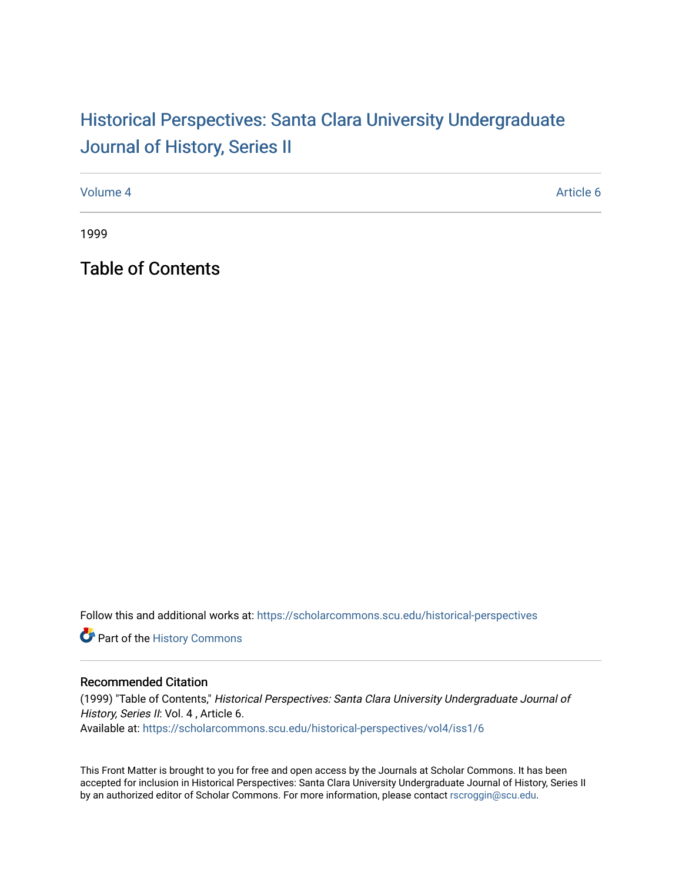## Historical Perspectiv[es: Santa Clara University Under](https://scholarcommons.scu.edu/historical-perspectives)graduate [Journal of History, Series II](https://scholarcommons.scu.edu/historical-perspectives)

[Volume 4](https://scholarcommons.scu.edu/historical-perspectives/vol4) Article 6

1999

Table of Contents

Follow this and additional works at: [https://scholarcommons.scu.edu/historical-perspectives](https://scholarcommons.scu.edu/historical-perspectives?utm_source=scholarcommons.scu.edu%2Fhistorical-perspectives%2Fvol4%2Fiss1%2F6&utm_medium=PDF&utm_campaign=PDFCoverPages) 

Part of the [History Commons](http://network.bepress.com/hgg/discipline/489?utm_source=scholarcommons.scu.edu%2Fhistorical-perspectives%2Fvol4%2Fiss1%2F6&utm_medium=PDF&utm_campaign=PDFCoverPages) 

## Recommended Citation

(1999) "Table of Contents," Historical Perspectives: Santa Clara University Undergraduate Journal of History, Series II: Vol. 4, Article 6. Available at: [https://scholarcommons.scu.edu/historical-perspectives/vol4/iss1/6](https://scholarcommons.scu.edu/historical-perspectives/vol4/iss1/6?utm_source=scholarcommons.scu.edu%2Fhistorical-perspectives%2Fvol4%2Fiss1%2F6&utm_medium=PDF&utm_campaign=PDFCoverPages) 

This Front Matter is brought to you for free and open access by the Journals at Scholar Commons. It has been accepted for inclusion in Historical Perspectives: Santa Clara University Undergraduate Journal of History, Series II by an authorized editor of Scholar Commons. For more information, please contact [rscroggin@scu.edu.](mailto:rscroggin@scu.edu)